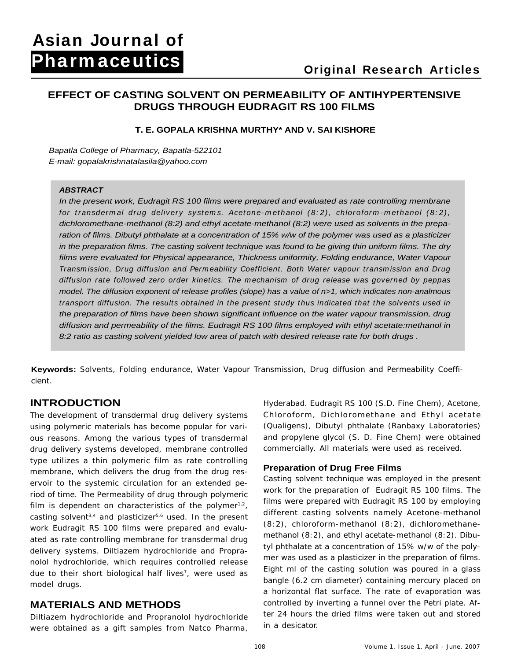## **EFFECT OF CASTING SOLVENT ON PERMEABILITY OF ANTIHYPERTENSIVE DRUGS THROUGH EUDRAGIT RS 100 FILMS**

## **T. E. GOPALA KRISHNA MURTHY\* AND V. SAI KISHORE**

Bapatla College of Pharmacy, Bapatla-522101 E-mail: gopalakrishnatalasila@yahoo.com

## **ABSTRACT**

In the present work, Eudragit RS 100 films were prepared and evaluated as rate controlling membrane for transdermal drug delivery systems. Acetone-methanol  $(8:2)$ , chloroform-methanol  $(8:2)$ , dichloromethane-methanol (8:2) and ethyl acetate-methanol (8:2) were used as solvents in the preparation of films. Dibutyl phthalate at a concentration of 15% w/w of the polymer was used as a plasticizer in the preparation films. The casting solvent technique was found to be giving thin uniform films. The dry films were evaluated for Physical appearance, Thickness uniformity, Folding endurance, Water Vapour Transmission, Drug diffusion and Permeability Coefficient. Both Water vapour transmission and Drug diffusion rate followed zero order kinetics. The mechanism of drug release was governed by peppas model. The diffusion exponent of release profiles (slope) has a value of n>1, which indicates non-analmous transport diffusion. The results obtained in the present study thus indicated that the solvents used in the preparation of films have been shown significant influence on the water vapour transmission, drug diffusion and permeability of the films. Eudragit RS 100 films employed with ethyl acetate:methanol in 8:2 ratio as casting solvent yielded low area of patch with desired release rate for both drugs.

**Keywords:** Solvents, Folding endurance, Water Vapour Transmission, Drug diffusion and Permeability Coeffi cient. And the contract of the contract of the contract of the contract of the contract of the contract of the

The development of transdermal drug delivery systems using polymeric materials has become popular for vari- (Qualigens), Dibutyl phthalate (Ranbaxy Laboratories) ous reasons. Among the various types of transdermal drug delivery systems developed, membrane controlled type utilizes a thin polymeric film as rate controlling membrane, which delivers the drug from the drug res ervoir to the systemic circulation for an extended period of time. The Permeability of drug through polymeric film is dependent on characteristics of the polymer $1,2$ , casting solvent<sup>3,4</sup> and plasticizer<sup>5,6</sup> used. In the present work Eudragit RS 100 films were prepared and evalu ated as rate controlling membrane for transdermal drug delivery systems. Diltiazem hydrochloride and Propra nolol hydrochloride, which requires controlled release due to their short biological half lives<sup>7</sup>, were used as **INTRODUCTION**<br> **INTRODUCTION**<br> **INTERNATION CONCET THE CONCET AS A GIGAL ENDIVERTED AS A GIGAL ENDIVERTIES TO CONCET FOR CONCET<br>
SUGAL THE CONCEPT SUGAL CONCEPT SUGAL CONCEPT AND A CONCEPT AND A GIGAL CONCEPT AND A GIGAL** 

Diltiazem hydrochloride and Propranolol hydrochloride

**INTRODUCTION Interventional Europe Exercise** Europe Hyderabad. Eudragit RS 100 (S.D. Fine Chem), Acetone, Chloroform, Dichloromethane and Ethyl acetate and propylene glycol (S. D. Fine Chem) were obtained commercially. All materials were used as received.

## **Preparation of Drug Free Films**

, films were prepared with Eudragit RS 100 by employing , were used as the first rin of the casting solution was pouled in a grass model drugs. **bangle (6.2 cm diameter) containing mercury placed on MATERIALS AND METHODS** controlled by inverting a funnel over the Petri plate. Af-Casting solvent technique was employed in the present work for the preparation of Eudragit RS 100 films. The different casting solvents namely Acetone-methanol (8:2), chloroform-methanol (8:2), dichloromethane methanol (8:2), and ethyl acetate-methanol (8:2). Dibutyl phthalate at a concentration of 15% w/w of the polymer was used as a plasticizer in the preparation of films. Eight ml of the casting solution was poured in a glass a horizontal flat surface. The rate of evaporation was ter 24 hours the dried films were taken out and stored in a desicator.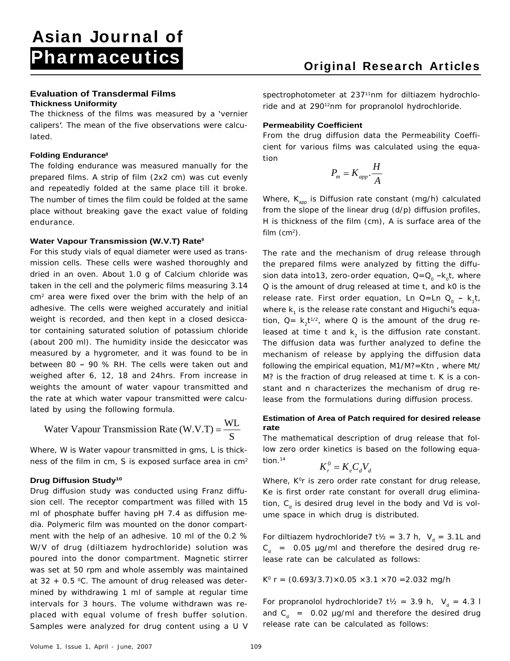The thickness of the films was measured by a 'vernier calipers'. The mean of the five observations were calcu-

The folding endurance was measured manually for the prepared films. A strip of film (2x2 cm) was cut evenly and repeatedly folded at the same place till it broke. place without breaking gave the exact value of folding

## **Water Vapour Transmission (W.V.T) Rate9**

For this study vials of equal diameter were used as transmission cells. These cells were washed thoroughly and dried in an oven. About 1.0 g of Calcium chloride was sion data into13, zero-order equation, Q=Q<sub>o</sub>-k<sub>o</sub>t, where taken in the cell and the polymeric films measuring 3.14 Q is the amount of drug released at time t, and k0 is the cm<sup>2</sup> area were fixed over the brim with the help of an adhesive. The cells were weighed accurately and initial where k<sub>1</sub> is the release rate constant and Higuchi's equaweight is recorded, and then kept in a closed desiccator containing saturated solution of potassium chloride illeased at time t and  $\mathsf{k}_2$  is the diffusion rate constant. (about 200 ml). The humidity inside the desiccator was measured by a hygrometer, and it was found to be in between 80 - 90 % RH. The cells were taken out and weighed after 6, 12, 18 and 24hrs. From increase in weights the amount of water vapour transmitted and the rate at which water vapour transmitted were calcu-lease from the formulations during diffusion process. lated by using the following formula.

Water Vapour Transmission Rate (W.V.T) = 
$$
\frac{WL}{S}
$$

Where, W is Water vapour transmitted in gms, L is thickness of the film in cm, S is exposed surface area in  $cm<sup>2</sup>$  tion.<sup>14</sup>

Drug diffusion study was conducted using Franz diffu sion cell. The receptor compartment was filled with 15 ml of phosphate buffer having pH 7.4 as diffusion me dia. Polymeric film was mounted on the donor compart ment with the help of an adhesive. 10 ml of the 0.2 % W/V of drug (diltiazem hydrochloride) solution was poured into the donor compartment. Magnetic stirrer was set at 50 rpm and whole assembly was maintained at 32 + 0.5 °C. The amount of drug released was deter-  $K^{\circ}$  r = (0.693/3.7)×0.05 ×3.1 ×70 =2.032 mg/h mined by withdrawing 1 ml of sample at regular time intervals for 3 hours. The volume withdrawn was re placed with equal volume of fresh buffer solution. Samples were analyzed for drug content using a U V release rate can be calculated as follows:

Evaluation of Transdermal Films **Exaluation of Transdermal Films** spectrophotometer at 237<sup>11</sup>nm for diltiazem hydrochlo-**Thickness Uniformity Example 2018** Transfer and at 290<sup>12</sup>nm for propranolol hydrochloride. 11nm for diltiazem hydrochlo-<sup>12</sup>nm for propranolol hydrochloride.

### **Permeability Coefficient**

lated. From the drug diffusion data the Permeability Coeffi- **Folding Endurance8** cient for various films was calculated using the equation

$$
P_m = K_{app} \cdot \frac{H}{A}
$$

The number of times the film could be folded at the same Mhere, K<sub>app</sub> is Diffusion rate constant (mg/h) calculated endurance. H is thickness of the film (cm), A is surface area of the from the slope of the linear drug (d/p) diffusion profiles, film  $\rm (cm^2)$ . ).

area were fixed over the brim with the help of an prelease rate. First order equation, Ln Q=Ln Q<sub>0</sub> - k<sub>1</sub>t, The rate and the mechanism of drug release through the prepared films were analyzed by fitting the diffu k<sub>o</sub>t, where t, where  $k_1$ t, material et al. t, tion,  $Q = k_2 t^{1/2}$ , where Q is the amount of the drug re-The diffusion data was further analyzed to define the mechanism of release by applying the diffusion data following the empirical equation, M1/M?=Ktn , where Mt/ M? is the fraction of drug released at time t. K is a con stant and n characterizes the mechanism of drug re-

### **Estimation of Area of Patch required for desired release rate** Water Vapour Transmission Rate  $(W.V.T) = \frac{WL}{a}$  rate

The mathematical description of drug release that follow zero order kinetics is based on the following equa- $\frac{1}{2}$  tion.<sup>14</sup>  $0-V\ C\ V$ 

$$
K_r^0 = K_e C_d V_d
$$

**Drug Diffusion Study<sup>10</sup> The Constant of Constant Constant of Study<sup>10</sup> and Study<sup>10</sup> and Study<sup>10</sup> and Study<sup>10</sup> and Study<sup>10</sup> and Study<sup>10</sup> and Study<sup>10</sup> and Study<sup>10</sup> and Study<sup>10</sup> and Study<sup>10</sup> and Study<sup>10</sup> and Study** Ke is first order rate constant for overall drug elimination, C<sub>a</sub> is desired drug level in the body and Vd is volume space in which drug is distributed. S<br>
The mathematical description of drug release that fol-<br>
hick-<br>
low zero order kinetics is based on the following equa-<br>
tion.<sup>14</sup><br>  $K_{r}^{0} = K_{e}C_{d}V_{d}$ <br>
Where, K°r is zero order rate constant for drug release,<br>
diffu

For diltiazem hydrochloride7 t<sup>1</sup>/<sub>2</sub> = 3.7 h, V<sub>d</sub> = 3.1L and  $C_d$  = 0.05  $\mu$  g/ml and therefore the desired drug release rate can be calculated as follows:

$$
K^{\circ}
$$
 r = (0.693/3.7)×0.05 x3.1 x70 = 2.032 mg/h

For propranolol hydrochloride7 t<sup>1</sup>/<sub>2</sub> = 3.9 h,  $V<sub>d</sub>$  = 4.3 l and  $C_d$  = 0.02  $\mu$  g/ml and therefore the desired drug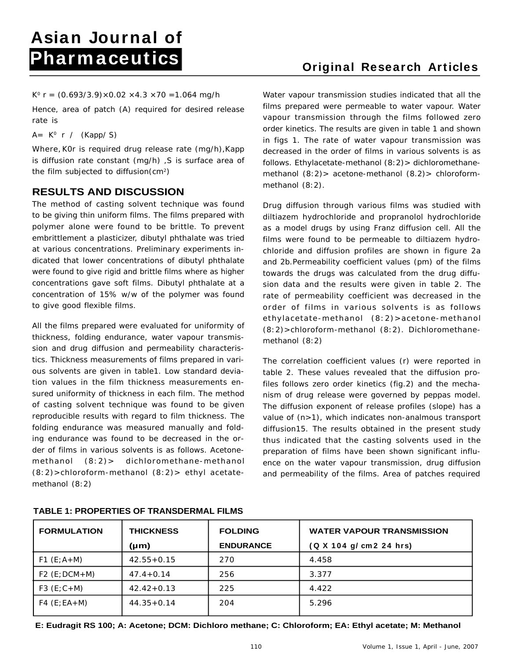Hence, area of patch (A) required for desired release

Where,K0r is required drug release rate (mg/h),Kapp is diffusion rate constant (mg/h) ,S is surface area of

## **RESULTS AND DISCUSSION**

dicated that lower concentrations of dibutyl phthalate were found to give rigid and brittle films where as higher concentrations gave soft films. Dibutyl phthalate at a

All the films prepared were evaluated for uniformity of thickness, folding endurance, water vapour transmis-<br>methanol (8:2) sion and drug diffusion and permeability characteristics. Thickness measurements of films prepared in various solvents are given in table1. Low standard deviation values in the film thickness measurements en sured uniformity of thickness in each film. The method reproducible results with regard to film thickness. The folding endurance was measured manually and folding endurance was found to be decreased in the or der of films in various solvents is as follows. Acetone- (8:2)>chloroform-methanol (8:2)> ethyl acetate methanol (8:2)

K<sup>o</sup> r = (0.693/3.9)×0.02 ×4.3 ×70 =1.064 mg/h Water vapour transmission studies indicated that all the rate is vapour transmission through the films followed zero  $A = K^0$  r / (Kapp/S)  $\qquad \qquad \ldots \qquad \qquad \ldots \qquad \qquad \ldots \qquad \ldots$ r / (Kapp/ S)<br>in figs 1. The rate of water vapour transmission was the film subjected to diffusion(cm2 ) methanol (8:2)> acetone-methanol (8.2)> chloroform films prepared were permeable to water vapour. Water order kinetics. The results are given in table 1 and shown decreased in the order of films in various solvents is as follows. Ethylacetate-methanol (8:2)> dichloromethanemethanol (8:2).

The method of casting solvent technique was found Drug diffusion through various films was studied with to be giving thin uniform films. The films prepared with ailtiazem hydrochloride and propranolol hydrochloride polymer alone were found to be brittle. To prevent as a model drugs by using Franz diffusion cell. All the embrittlement a plasticizer, dibutyl phthalate was tried in films were found to be permeable to diltiazem hydroat various concentrations. Preliminary experiments in- chloride and diffusion profiles are shown in figure 2a concentration of 15% w/w of the polymer was found rate of permeability coefficient was decreased in the to give good flexible films. order of films in various solvents is as follows and 2b.Permeability coefficient values (pm) of the films towards the drugs was calculated from the drug diffu sion data and the results were given in table 2. The ethylacetate-methanol (8:2)>acetone-methanol (8:2)>chloroform-methanol (8:2). Dichloromethane methanol (8:2)

of casting solvent technique was found to be given The diffusion exponent of release profiles (slope) has a methanol (8:2)> dichloromethane-methanol ence on the water vapour transmission, drug diffusion The correlation coefficient values (r) were reported in table 2. These values revealed that the diffusion profiles follows zero order kinetics (fig.2) and the mecha nism of drug release were governed by peppas model. value of (n>1), which indicates non-analmous transport diffusion15. The results obtained in the present study thus indicated that the casting solvents used in the preparation of films have been shown significant influ and permeability of the films. Area of patches required

| <b>FORMULATION</b> | <b>THICKNESS</b> | <b>FOLDING</b>   | WATER VAPOUR TRANSMISSION |
|--------------------|------------------|------------------|---------------------------|
|                    | (µm)             | <b>ENDURANCE</b> | (Q X 104 g/ cm2 24 hrs)   |
| $F1(E;A+M)$        | $42.55 + 0.15$   | 270              |                           |
| $F2(E;DCM+M)$      | $47.4 + 0.14$    | 200              | $3.3^{\circ}$             |
| F3 $(E; C+M)$      | $42.42 + 0.13$   | 225              | -4.422                    |
| $F4(E;EA+M)$       | $44.35 + 0.14$   | 204              | 5.296                     |

## **TABLE 1: PROPERTIES OF TRANSDERMAL FILMS**

**E: Eudragit RS 100; A: Acetone; DCM: Dichloro methane; C: Chloroform; EA: Ethyl acetate; M: Methanol**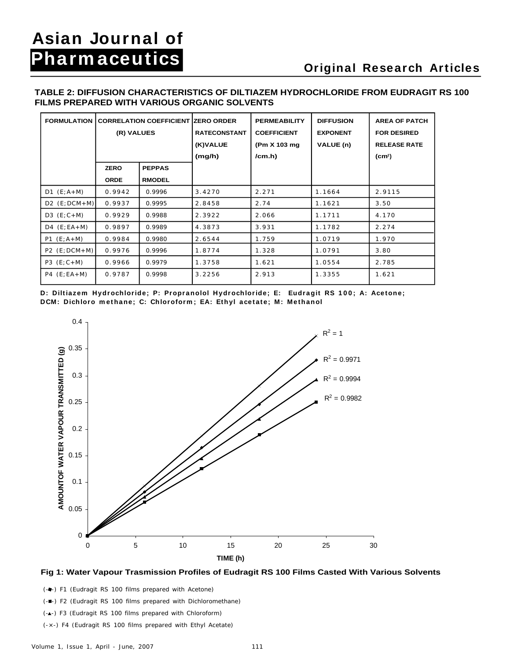# **Pharmaceutics**<br> **Diginal Research Articles**

## **TABLE 2: DIFFUSION CHARACTERISTICS OF DILTIAZEM HYDROCHLORIDE FROM EUDRAGIT RS 100 FILMS PREPARED WITH VARIOUS ORGANIC SOLVENTS**

|                                                |                 |                                                         | FILMS PREPARED WITH VARIOUS ORGANIC SOLVENTS |                     |                              |                                           |
|------------------------------------------------|-----------------|---------------------------------------------------------|----------------------------------------------|---------------------|------------------------------|-------------------------------------------|
| FORMULATION CORRELATION COEFFICIENT ZERO ORDER |                 |                                                         |                                              | <b>PERMEABILITY</b> | DIFFUSION                    | <b>AREA OF PATCH</b>                      |
|                                                | (R) VALUES      |                                                         | RATECONSTANT COEFFICIENT<br>(K)VALUE         | $ $ (Pm X 103 mg    | <b>EXPONENT</b><br>VALUE (n) | <b>FOR DESIRED</b><br><b>RELEASE RATE</b> |
|                                                |                 |                                                         | (mg/h)                                       | $/cm.h$ )           |                              | $\rm \left( cm^2 \right)$                 |
|                                                | <b>ZERO</b>     | <b>PEPPAS</b>                                           |                                              |                     |                              |                                           |
|                                                | <b>ORDE</b>     | RMODEL                                                  |                                              |                     |                              |                                           |
| $D1 (E; A+M)$                                  | $0.9942$ 0.9996 |                                                         | 3.4270                                       | 2.271               | 1.1664                       | 2.9115                                    |
| $\vert$ D2 (E; DCM+M)                          | 0.9937          | $\begin{array}{ c c } \hline 0.9995 \hline \end{array}$ | 2.8458                                       | 2.74                | 1.1621                       | 3.50                                      |
| D3 $(E; C+M)$                                  | $0.9929$ 0.9988 |                                                         | 2.3922                                       | 2.066               | 1.1711                       | 4.170                                     |
| $D4$ (E;EA+M)                                  | $0.9897$ 0.9989 |                                                         | 4.3873                                       | 3.931               | 1.1782                       | 2.274                                     |
| $PI(E;A+M)$                                    | 0.9984          | $\begin{array}{ c c } 0.9980 \end{array}$               | 2.6544                                       | 1.759               | 1.0719                       | 1.970                                     |
| $  P2 (E;DCM+M)   0.9976   0.9996$             |                 |                                                         | 1.8774                                       | 1.328               | 1.0791                       | 3.80                                      |
| $P3 (E; C+M)$                                  | 0.9966          | 0.9979                                                  | 1.3758                                       | 1.621               | 1.0554                       | 2.785                                     |
| $P4 (E; EA+M)$                                 |                 | $0.9787$ 0.9998                                         | 3.2256                                       | 2.913               | 1.3355                       | 1.621                                     |





(-) F1 (Eudragit RS 100 films prepared with Acetone)

(- $\blacksquare$ -) F2 (Eudragit RS 100 films prepared with Dichloromethane)

- (-A-) F3 (Eudragit RS 100 films prepared with Chloroform)
- (-×-) F4 (Eudragit RS 100 films prepared with Ethyl Acetate)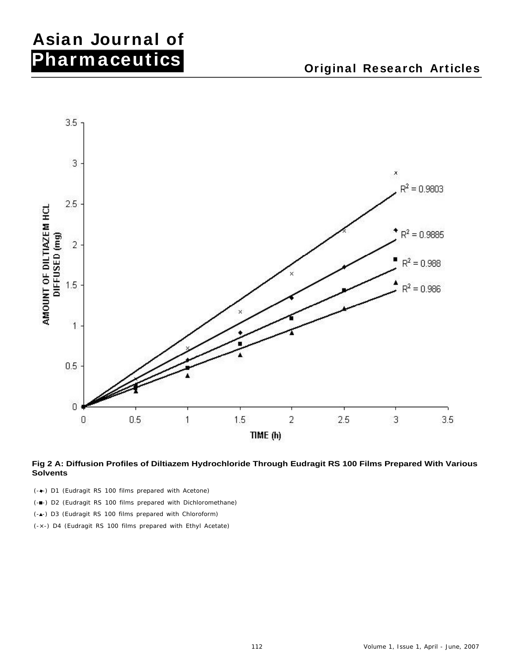# **Asian Journal of Pharmaceutics**<br> **Diginal Research Articles**



### **Fig 2 A: Diffusion Profiles of Diltiazem Hydrochloride Through Eudragit RS 100 Films Prepared With Various Solvents**

- (- -) D1 (Eudragit RS 100 films prepared with Acetone)
- (- $\blacksquare$ -) D2 (Eudragit RS 100 films prepared with Dichloromethane)
- (-A-) D3 (Eudragit RS 100 films prepared with Chloroform)
- (-×-) D4 (Eudragit RS 100 films prepared with Ethyl Acetate)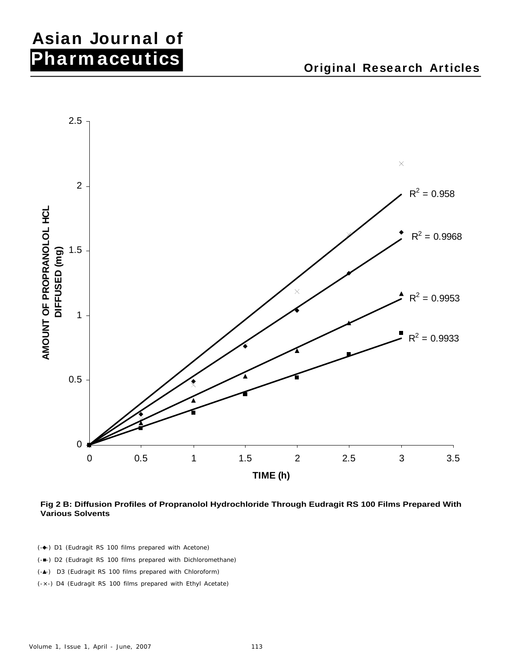## **Asian Journal of Pharmaceutics**<br> **Diginal Research Articles**



**Fig 2 B: Diffusion Profiles of Propranolol Hydrochloride Through Eudragit RS 100 Films Prepared With Various Solvents**

- (- $\leftarrow$ ) D1 (Eudragit RS 100 films prepared with Acetone)
- (- $\blacksquare$ -) D2 (Eudragit RS 100 films prepared with Dichloromethane)
- (-A-) D3 (Eudragit RS 100 films prepared with Chloroform)
- (-×-) D4 (Eudragit RS 100 films prepared with Ethyl Acetate)